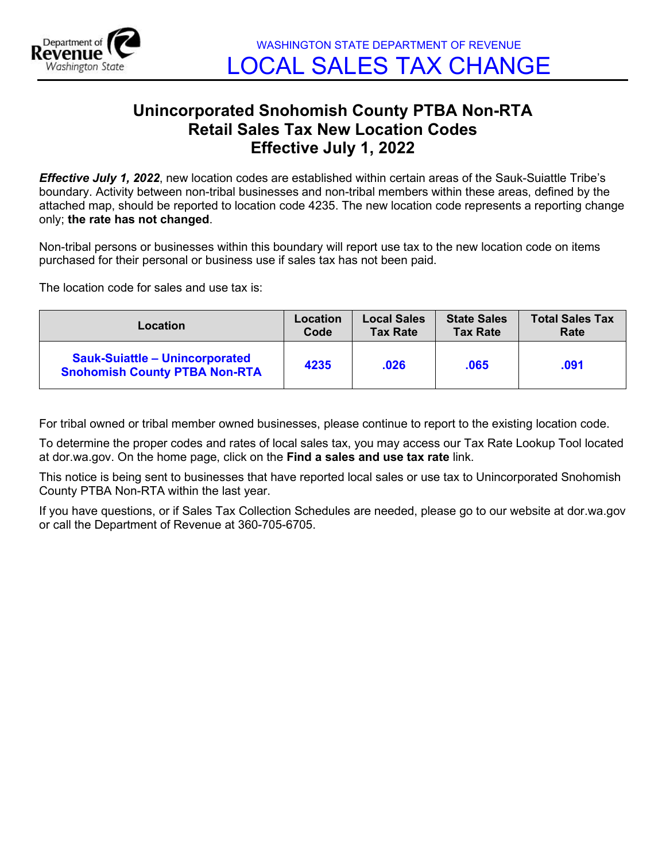

## **Unincorporated Snohomish County PTBA Non-RTA Retail Sales Tax New Location Codes Effective July 1, 2022**

*Effective July 1, 2022*, new location codes are established within certain areas of the Sauk-Suiattle Tribe's boundary. Activity between non-tribal businesses and non-tribal members within these areas, defined by the attached map, should be reported to location code 4235. The new location code represents a reporting change only; **the rate has not changed**.

Non-tribal persons or businesses within this boundary will report use tax to the new location code on items purchased for their personal or business use if sales tax has not been paid.

The location code for sales and use tax is:

| Location                                                                      | <b>Location</b> | <b>Local Sales</b> | <b>State Sales</b> | <b>Total Sales Tax</b> |
|-------------------------------------------------------------------------------|-----------------|--------------------|--------------------|------------------------|
|                                                                               | Code            | <b>Tax Rate</b>    | <b>Tax Rate</b>    | Rate                   |
| <b>Sauk-Suiattle - Unincorporated</b><br><b>Snohomish County PTBA Non-RTA</b> | 4235            | .026               | .065               | .091                   |

For tribal owned or tribal member owned businesses, please continue to report to the existing location code.

To determine the proper codes and rates of local sales tax, you may access our Tax Rate Lookup Tool located at dor.wa.gov. On the home page, click on the **Find a sales and use tax rate** link.

This notice is being sent to businesses that have reported local sales or use tax to Unincorporated Snohomish County PTBA Non-RTA within the last year.

If you have questions, or if Sales Tax Collection Schedules are needed, please go to our website at dor.wa.gov or call the Department of Revenue at 360-705-6705.